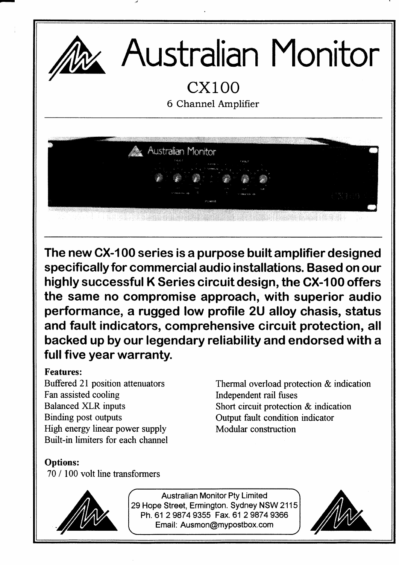

The new CX-100 series is a purpose built amplifier designed specifically for commercial audio installations. Based on our highly successful K Series circuit design, the CX-100 offers the same no compromise approach, with superior audio performance, a rugged low profile 2U alloy chasis, status and fault indicators, comprehensive circuit protection, all backed up by our legendary reliability and endorsed with a full five year warranty.

## Features:

Buffered 21 position attenuators Fan assisted cooling Balanced XLR inputs Binding post outputs High energy linear power supply Built-in limiters for each channel Thermal overload protection & indication Independent rail fuses Short circuit protection & indication Output fault condition indicator Modular construction

## Options:

70 / 100 volt line transformers



Australian Monitor Pty Limited 29 Hope Street, Ermington. Sydney NSW 2115 Ph. 61 2 9874 9355 Fax. 61 2 9874 9366 Email: Ausmon@mypostbox.com